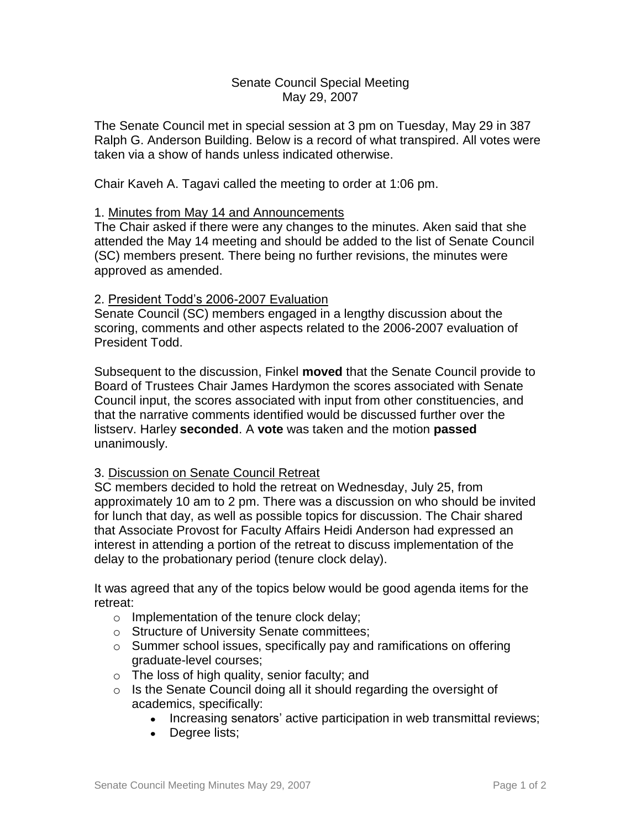## Senate Council Special Meeting May 29, 2007

The Senate Council met in special session at 3 pm on Tuesday, May 29 in 387 Ralph G. Anderson Building. Below is a record of what transpired. All votes were taken via a show of hands unless indicated otherwise.

Chair Kaveh A. Tagavi called the meeting to order at 1:06 pm.

## 1. Minutes from May 14 and Announcements

The Chair asked if there were any changes to the minutes. Aken said that she attended the May 14 meeting and should be added to the list of Senate Council (SC) members present. There being no further revisions, the minutes were approved as amended.

## 2. President Todd's 2006-2007 Evaluation

Senate Council (SC) members engaged in a lengthy discussion about the scoring, comments and other aspects related to the 2006-2007 evaluation of President Todd.

Subsequent to the discussion, Finkel **moved** that the Senate Council provide to Board of Trustees Chair James Hardymon the scores associated with Senate Council input, the scores associated with input from other constituencies, and that the narrative comments identified would be discussed further over the listserv. Harley **seconded**. A **vote** was taken and the motion **passed** unanimously.

## 3. Discussion on Senate Council Retreat

SC members decided to hold the retreat on Wednesday, July 25, from approximately 10 am to 2 pm. There was a discussion on who should be invited for lunch that day, as well as possible topics for discussion. The Chair shared that Associate Provost for Faculty Affairs Heidi Anderson had expressed an interest in attending a portion of the retreat to discuss implementation of the delay to the probationary period (tenure clock delay).

It was agreed that any of the topics below would be good agenda items for the retreat:

- o Implementation of the tenure clock delay;
- o Structure of University Senate committees;
- o Summer school issues, specifically pay and ramifications on offering graduate-level courses;
- o The loss of high quality, senior faculty; and
- o Is the Senate Council doing all it should regarding the oversight of academics, specifically:
	- Increasing senators' active participation in web transmittal reviews;
	- Degree lists;